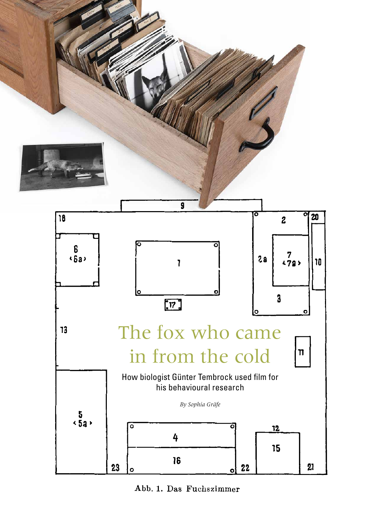

Abb. 1. Das Fuchszimmer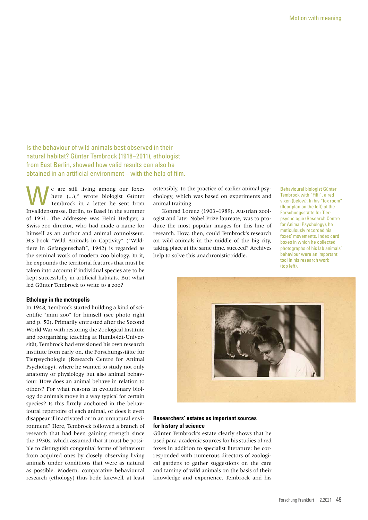Is the behaviour of wild animals best observed in their natural habitat? Günter Tembrock (1918−2011), ethologist from East Berlin, showed how valid results can also be obtained in an artificial environment – with the help of film.

We are still living among our foxes<br>
Tembrock in a letter he sent from<br>
Tembrock in a letter he sent from here (...)," wrote biologist Günter Invalidenstrasse, Berlin, to Basel in the summer of 1951. The addressee was Heini Hediger, a Swiss zoo director, who had made a name for himself as an author and animal connoisseur. His book "Wild Animals in Captivity" ("Wildtiere in Gefangenschaft", 1942) is regarded as the seminal work of modern zoo biology. In it, he expounds the territorial features that must be taken into account if individual species are to be kept successfully in artificial habitats. But what led Günter Tembrock to write to a zoo?

### **Ethology in the metropolis**

In 1948, Tembrock started building a kind of scientific "mini zoo" for himself (see photo right and p. 50). Primarily entrusted after the Second World War with restoring the Zoological Institute and reorganising teaching at Humboldt-Universität, Tembrock had envisioned his own research institute from early on, the Forschungsstätte für Tierpsychologie (Research Centre for Animal Psychology), where he wanted to study not only anatomy or physiology but also animal behaviour. How does an animal behave in relation to others? For what reasons in evolutionary biology do animals move in a way typical for certain species? Is this firmly anchored in the behavioural repertoire of each animal, or does it even disappear if inactivated or in an unnatural environment? Here, Tembrock followed a branch of research that had been gaining strength since the 1930s, which assumed that it must be possible to distinguish congenital forms of behaviour from acquired ones by closely observing living animals under conditions that were as natural as possible. Modern, comparative behavioural research (ethology) thus bode farewell, at least

ostensibly, to the practice of earlier animal psychology, which was based on experiments and animal training.

Konrad Lorenz (1903–1989), Austrian zoologist and later Nobel Prize laureate, was to produce the most popular images for this line of research. How, then, could Tembrock's research on wild animals in the middle of the big city, taking place at the same time, succeed? Archives help to solve this anachronistic riddle.

Behavioural biologist Günter Tembrock with "Fiffi", a red vixen (below). In his "fox room" (floor plan on the left) at the Forschungsstätte für Tierpsychologie (Research Centre for Animal Psychology), he meticulously recorded his foxes' movements. Index card boxes in which he collected photographs of his lab animals' behaviour were an important tool in his research work (top left).



# **Researchers' estates as important sources for history of science**

Günter Tembrock's estate clearly shows that he used para-academic sources for his studies of red foxes in addition to specialist literature: he corresponded with numerous directors of zoological gardens to gather suggestions on the care and taming of wild animals on the basis of their knowledge and experience. Tembrock and his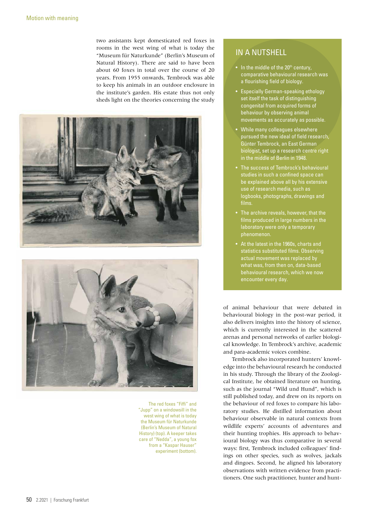two assistants kept domesticated red foxes in rooms in the west wing of what is today the "Museum für Naturkunde" (Berlin's Museum of Natural History). There are said to have been about 60 foxes in total over the course of 20 years. From 1955 onwards, Tembrock was able to keep his animals in an outdoor enclosure in the institute's garden. His estate thus not only sheds light on the theories concerning the study





The red foxes "Fiffi" and "Jupp" on a windowsill in the west wing of what is today the Museum für Naturkunde (Berlin's Museum of Natural History) (top). A keeper takes care of "Nedda", a young fox from a "Kaspar Hauser" experiment (bottom).

# IN A NUTSHELL

- $\bullet$  In the middle of the 20<sup>th</sup> century, comparative behavioural research was a flourishing field of biology.
- Especially German-speaking ethology set itself the task of distinguishing congenital from acquired forms of behaviour by observing animal movements as accurately as possible.
- While many colleagues elsewhere pursued the new ideal of field research, Günter Tembrock, an East German biologist, set up a research centre right in the middle of Berlin in 1948.
- The success of Tembrock's behavioural studies in such a confined space can be explained above all by his extensive use of research media, such as logbooks, photographs, drawings and films.
- The archive reveals, however, that the films produced in large numbers in the laboratory were only a temporary phenomenon.
- At the latest in the 1960s, charts and statistics substituted films. Observing actual movement was replaced by what was, from then on, data-based behavioural research, which we now encounter every day.

of animal behaviour that were debated in behavioural biology in the post-war period, it also delivers insights into the history of science, which is currently interested in the scattered arenas and personal networks of earlier biological knowledge. In Tembrock's archive, academic and para-academic voices combine.

Tembrock also incorporated hunters' knowledge into the behavioural research he conducted in his study. Through the library of the Zoological Institute, he obtained literature on hunting, such as the journal "Wild und Hund", which is still published today, and drew on its reports on the behaviour of red foxes to compare his laboratory studies. He distilled information about behaviour observable in natural contexts from wildlife experts' accounts of adventures and their hunting trophies. His approach to behavioural biology was thus comparative in several ways: first, Tembrock included colleagues' findings on other species, such as wolves, jackals and dingoes. Second, he aligned his laboratory observations with written evidence from practitioners. One such practitioner, hunter and hunt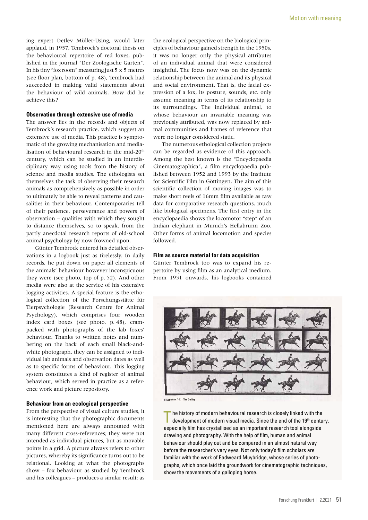ing expert Detlev Müller-Using, would later applaud, in 1957, Tembrock's doctoral thesis on the behavioural repertoire of red foxes, published in the journal "Der Zoologische Garten". In his tiny "fox room" measuring just 5 x 5 metres (see floor plan, bottom of p. 48), Tembrock had succeeded in making valid statements about the behaviour of wild animals. How did he achieve this?

## **Observation through extensive use of media**

The answer lies in the records and objects of Tembrock's research practice, which suggest an extensive use of media. This practice is symptomatic of the growing mechanisation and medialisation of behavioural research in the mid-20<sup>th</sup> century, which can be studied in an interdisciplinary way using tools from the history of science and media studies. The ethologists set themselves the task of observing their research animals as comprehensively as possible in order to ultimately be able to reveal patterns and causalities in their behaviour. Contemporaries tell of their patience, perseverance and powers of observation – qualities with which they sought to distance themselves, so to speak, from the partly anecdotal research reports of old-school animal psychology by now frowned upon.

Günter Tembrock entered his detailed observations in a logbook just as tirelessly. In daily records, he put down on paper all elements of the animals' behaviour however inconspicuous they were (see photo, top of p. 52). And other media were also at the service of his extensive logging activities. A special feature is the ethological collection of the Forschungsstätte für Tierpsychologie (Research Centre for Animal Psychology), which comprises four wooden index card boxes (see photo, p. 48), crampacked with photographs of the lab foxes' behaviour. Thanks to written notes and numbering on the back of each small black-andwhite photograph, they can be assigned to individual lab animals and observation dates as well as to specific forms of behaviour. This logging system constitutes a kind of register of animal behaviour, which served in practice as a reference work and picture repository.

# **Behaviour from an ecological perspective**

From the perspective of visual culture studies, it is interesting that the photographic documents mentioned here are always annotated with many different cross-references; they were not intended as individual pictures, but as movable points in a grid. A picture always refers to other pictures, whereby its significance turns out to be relational. Looking at what the photographs show – fox behaviour as studied by Tembrock and his colleagues – produces a similar result: as

the ecological perspective on the biological principles of behaviour gained strength in the 1950s, it was no longer only the physical attributes of an individual animal that were considered insightful. The focus now was on the dynamic relationship between the animal and its physical and social environment. That is, the facial expression of a fox, its posture, sounds, etc. only assume meaning in terms of its relationship to its surroundings. The individual animal, to whose behaviour an invariable meaning was previously attributed, was now replaced by animal communities and frames of reference that were no longer considered static.

The numerous ethological collection projects can be regarded as evidence of this approach. Among the best known is the "Encyclopaedia Cinematographica", a film encyclopaedia published between 1952 and 1993 by the Institute for Scientific Film in Göttingen. The aim of this scientific collection of moving images was to make short reels of 16mm film available as raw data for comparative research questions, much like biological specimens. The first entry in the encyclopaedia shows the locomotor "step" of an Indian elephant in Munich's Hellabrunn Zoo. Other forms of animal locomotion and species followed.

### **Film as source material for data acquisition**

Günter Tembrock too was to expand his repertoire by using film as an analytical medium. From 1951 onwards, his logbooks contained



**Illustration 14. The Galley** 

The history of modern behavioural research is closely linked with the development of modern visual media. Since the end of the 19th century, especially film has crystallised as an important research tool alongside drawing and photography. With the help of film, human and animal behaviour should play out and be compared in an almost natural way before the researcher's very eyes. Not only today's film scholars are familiar with the work of Eadweard Muybridge, whose series of photographs, which once laid the groundwork for cinematographic techniques, show the movements of a galloping horse.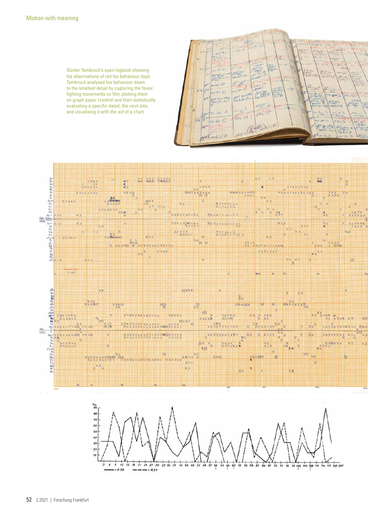Günter Tembrock's open logbook showing his observations of red fox behaviour (top). Tembrock analysed fox behaviour down to the smallest detail by capturing the foxes' fighting movements on film, plotting them on graph paper (centre) and then statistically evaluating a specific detail, the neck bite, and visualising it with the aid of a chart.





42 45 48 57 54 57 60 65 66 69 72 75 78 67

84 67

90 93 96 99 702 705 708 711 714 717 720 sec

18 21 24 27 30 33 36 39

 $-0.837$ 

 $\dot{\mathbf{6}}$ 

 $\overline{9}$ 

 $72$  $75$ 

\* R 32